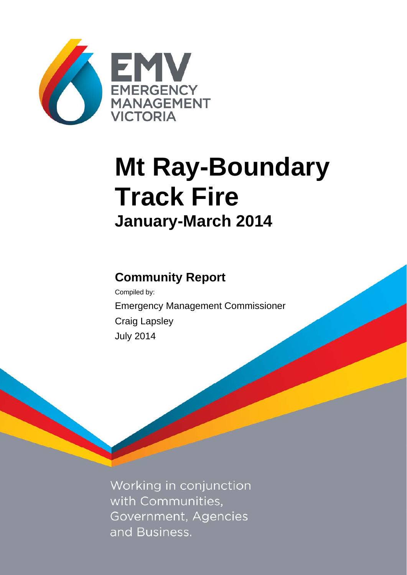

# **Mt Ray-Boundary Track Fire January-March 2014**

# **Community Report**

Compiled by: Emergency Management Commissioner Craig Lapsley July 2014

Working in conjunction with Communities, Government, Agencies and Business.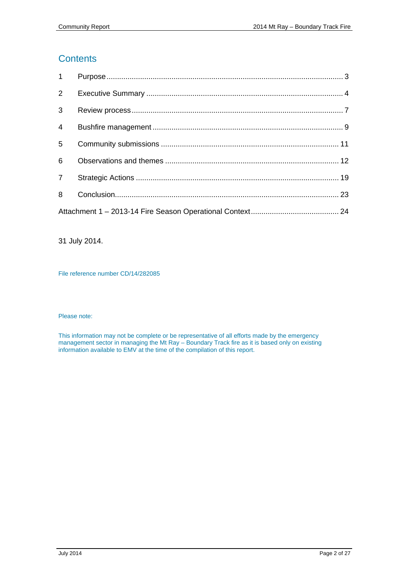# **Contents**

| 3 <sup>1</sup> |  |
|----------------|--|
| $\overline{4}$ |  |
| 5 <sup>5</sup> |  |
| 6              |  |
|                |  |
| 8              |  |
|                |  |

31 July 2014.

File reference number CD/14/282085

#### Please note:

This information may not be complete or be representative of all efforts made by the emergency management sector in managing the Mt Ray – Boundary Track fire as it is based only on existing information available to EMV at the time of the compilation of this report.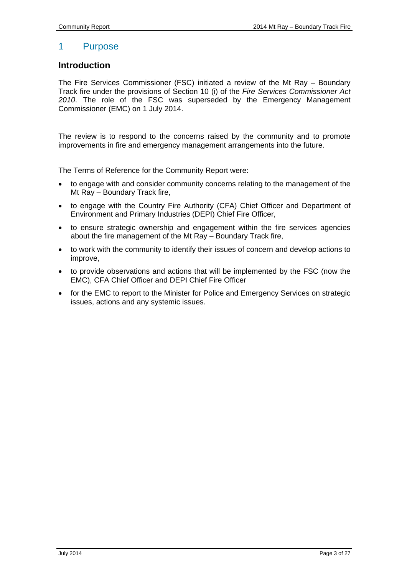# 1 Purpose

## <span id="page-2-0"></span>**Introduction**

The Fire Services Commissioner (FSC) initiated a review of the Mt Ray – Boundary Track fire under the provisions of Section 10 (i) of the *Fire Services Commissioner Act 2010*. The role of the FSC was superseded by the Emergency Management Commissioner (EMC) on 1 July 2014.

The review is to respond to the concerns raised by the community and to promote improvements in fire and emergency management arrangements into the future.

The Terms of Reference for the Community Report were:

- to engage with and consider community concerns relating to the management of the Mt Ray – Boundary Track fire,
- to engage with the Country Fire Authority (CFA) Chief Officer and Department of Environment and Primary Industries (DEPI) Chief Fire Officer,
- to ensure strategic ownership and engagement within the fire services agencies about the fire management of the Mt Ray – Boundary Track fire,
- to work with the community to identify their issues of concern and develop actions to improve,
- to provide observations and actions that will be implemented by the FSC (now the EMC), CFA Chief Officer and DEPI Chief Fire Officer
- for the EMC to report to the Minister for Police and Emergency Services on strategic issues, actions and any systemic issues.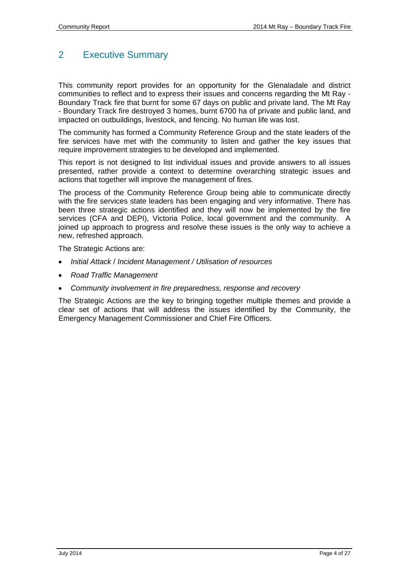# <span id="page-3-0"></span>2 Executive Summary

This community report provides for an opportunity for the Glenaladale and district communities to reflect and to express their issues and concerns regarding the Mt Ray - Boundary Track fire that burnt for some 67 days on public and private land. The Mt Ray - Boundary Track fire destroyed 3 homes, burnt 6700 ha of private and public land, and impacted on outbuildings, livestock, and fencing. No human life was lost.

The community has formed a Community Reference Group and the state leaders of the fire services have met with the community to listen and gather the key issues that require improvement strategies to be developed and implemented.

This report is not designed to list individual issues and provide answers to all issues presented, rather provide a context to determine overarching strategic issues and actions that together will improve the management of fires.

The process of the Community Reference Group being able to communicate directly with the fire services state leaders has been engaging and very informative. There has been three strategic actions identified and they will now be implemented by the fire services (CFA and DEPI), Victoria Police, local government and the community. A joined up approach to progress and resolve these issues is the only way to achieve a new, refreshed approach.

The Strategic Actions are:

- *Initial Attack* / *Incident Management / Utilisation of resources*
- *Road Traffic Management*
- *Community involvement in fire preparedness, response and recovery*

The Strategic Actions are the key to bringing together multiple themes and provide a clear set of actions that will address the issues identified by the Community, the Emergency Management Commissioner and Chief Fire Officers.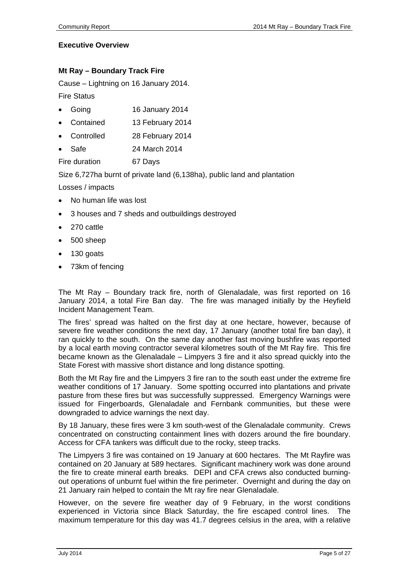#### **Executive Overview**

#### **Mt Ray – Boundary Track Fire**

Cause – Lightning on 16 January 2014.

Fire Status

- Going 16 January 2014
- Contained 13 February 2014
- Controlled 28 February 2014
- Safe 24 March 2014

Fire duration 67 Days

Size 6,727ha burnt of private land (6,138ha), public land and plantation

Losses / impacts

- No human life was lost
- 3 houses and 7 sheds and outbuildings destroyed
- 270 cattle
- 500 sheep
- 130 goats
- 73km of fencing

The Mt Ray – Boundary track fire, north of Glenaladale, was first reported on 16 January 2014, a total Fire Ban day. The fire was managed initially by the Heyfield Incident Management Team.

The fires' spread was halted on the first day at one hectare, however, because of severe fire weather conditions the next day, 17 January (another total fire ban day), it ran quickly to the south. On the same day another fast moving bushfire was reported by a local earth moving contractor several kilometres south of the Mt Ray fire. This fire became known as the Glenaladale – Limpyers 3 fire and it also spread quickly into the State Forest with massive short distance and long distance spotting.

Both the Mt Ray fire and the Limpyers 3 fire ran to the south east under the extreme fire weather conditions of 17 January. Some spotting occurred into plantations and private pasture from these fires but was successfully suppressed. Emergency Warnings were issued for Fingerboards, Glenaladale and Fernbank communities, but these were downgraded to advice warnings the next day.

By 18 January, these fires were 3 km south-west of the Glenaladale community. Crews concentrated on constructing containment lines with dozers around the fire boundary. Access for CFA tankers was difficult due to the rocky, steep tracks.

The Limpyers 3 fire was contained on 19 January at 600 hectares. The Mt Rayfire was contained on 20 January at 589 hectares. Significant machinery work was done around the fire to create mineral earth breaks. DEPI and CFA crews also conducted burningout operations of unburnt fuel within the fire perimeter. Overnight and during the day on 21 January rain helped to contain the Mt ray fire near Glenaladale.

However, on the severe fire weather day of 9 February, in the worst conditions experienced in Victoria since Black Saturday, the fire escaped control lines. The maximum temperature for this day was 41.7 degrees celsius in the area, with a relative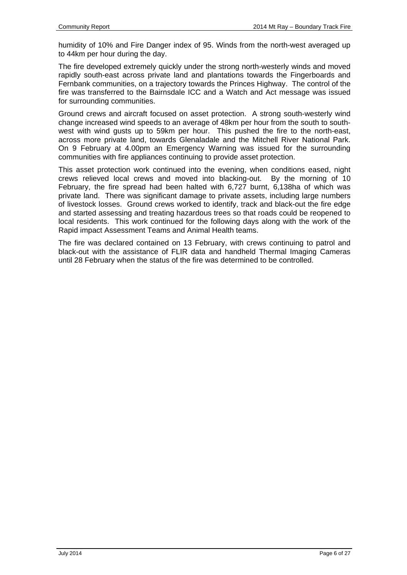humidity of 10% and Fire Danger index of 95. Winds from the north-west averaged up to 44km per hour during the day.

The fire developed extremely quickly under the strong north-westerly winds and moved rapidly south-east across private land and plantations towards the Fingerboards and Fernbank communities, on a trajectory towards the Princes Highway. The control of the fire was transferred to the Bairnsdale ICC and a Watch and Act message was issued for surrounding communities.

Ground crews and aircraft focused on asset protection. A strong south-westerly wind change increased wind speeds to an average of 48km per hour from the south to southwest with wind gusts up to 59km per hour. This pushed the fire to the north-east, across more private land, towards Glenaladale and the Mitchell River National Park. On 9 February at 4.00pm an Emergency Warning was issued for the surrounding communities with fire appliances continuing to provide asset protection.

This asset protection work continued into the evening, when conditions eased, night crews relieved local crews and moved into blacking-out. By the morning of 10 February, the fire spread had been halted with 6,727 burnt, 6,138ha of which was private land. There was significant damage to private assets, including large numbers of livestock losses. Ground crews worked to identify, track and black-out the fire edge and started assessing and treating hazardous trees so that roads could be reopened to local residents. This work continued for the following days along with the work of the Rapid impact Assessment Teams and Animal Health teams.

The fire was declared contained on 13 February, with crews continuing to patrol and black-out with the assistance of FLIR data and handheld Thermal Imaging Cameras until 28 February when the status of the fire was determined to be controlled.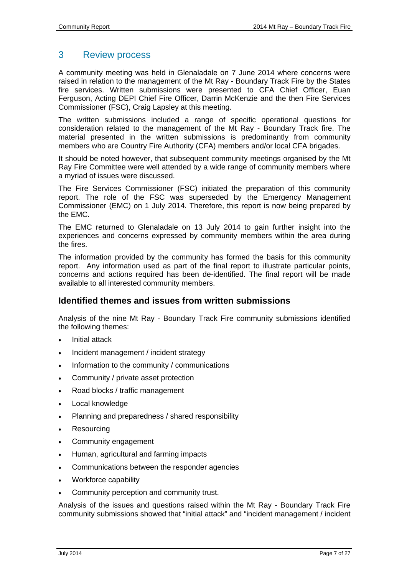# <span id="page-6-0"></span>3 Review process

A community meeting was held in Glenaladale on 7 June 2014 where concerns were raised in relation to the management of the Mt Ray - Boundary Track Fire by the States fire services. Written submissions were presented to CFA Chief Officer, Euan Ferguson, Acting DEPI Chief Fire Officer, Darrin McKenzie and the then Fire Services Commissioner (FSC), Craig Lapsley at this meeting.

The written submissions included a range of specific operational questions for consideration related to the management of the Mt Ray - Boundary Track fire. The material presented in the written submissions is predominantly from community members who are Country Fire Authority (CFA) members and/or local CFA brigades.

It should be noted however, that subsequent community meetings organised by the Mt Ray Fire Committee were well attended by a wide range of community members where a myriad of issues were discussed.

The Fire Services Commissioner (FSC) initiated the preparation of this community report. The role of the FSC was superseded by the Emergency Management Commissioner (EMC) on 1 July 2014. Therefore, this report is now being prepared by the EMC.

The EMC returned to Glenaladale on 13 July 2014 to gain further insight into the experiences and concerns expressed by community members within the area during the fires.

The information provided by the community has formed the basis for this community report. Any information used as part of the final report to illustrate particular points, concerns and actions required has been de-identified. The final report will be made available to all interested community members.

# **Identified themes and issues from written submissions**

Analysis of the nine Mt Ray - Boundary Track Fire community submissions identified the following themes:

- Initial attack
- Incident management / incident strategy
- Information to the community / communications
- Community / private asset protection
- Road blocks / traffic management
- Local knowledge
- Planning and preparedness / shared responsibility
- Resourcing
- Community engagement
- Human, agricultural and farming impacts
- Communications between the responder agencies
- Workforce capability
- Community perception and community trust.

Analysis of the issues and questions raised within the Mt Ray - Boundary Track Fire community submissions showed that "initial attack" and "incident management / incident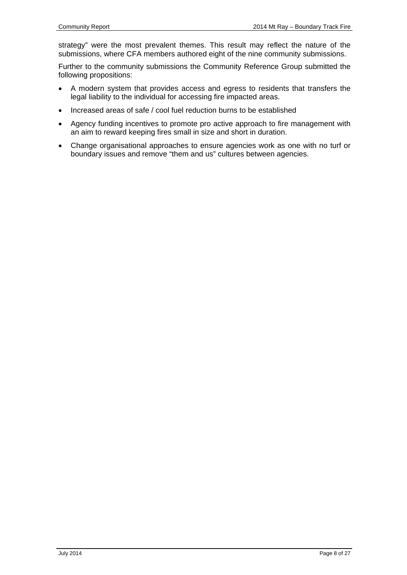strategy" were the most prevalent themes. This result may reflect the nature of the submissions, where CFA members authored eight of the nine community submissions.

Further to the community submissions the Community Reference Group submitted the following propositions:

- A modern system that provides access and egress to residents that transfers the legal liability to the individual for accessing fire impacted areas.
- Increased areas of safe / cool fuel reduction burns to be established
- Agency funding incentives to promote pro active approach to fire management with an aim to reward keeping fires small in size and short in duration.
- Change organisational approaches to ensure agencies work as one with no turf or boundary issues and remove "them and us" cultures between agencies.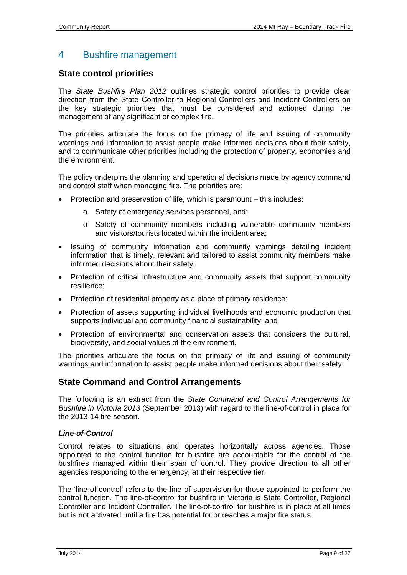# <span id="page-8-0"></span>4 Bushfire management

# **State control priorities**

The *State Bushfire Plan 2012* outlines strategic control priorities to provide clear direction from the State Controller to Regional Controllers and Incident Controllers on the key strategic priorities that must be considered and actioned during the management of any significant or complex fire.

The priorities articulate the focus on the primacy of life and issuing of community warnings and information to assist people make informed decisions about their safety, and to communicate other priorities including the protection of property, economies and the environment.

The policy underpins the planning and operational decisions made by agency command and control staff when managing fire. The priorities are:

- Protection and preservation of life, which is paramount this includes:
	- o Safety of emergency services personnel, and;
	- o Safety of community members including vulnerable community members and visitors/tourists located within the incident area;
- Issuing of community information and community warnings detailing incident information that is timely, relevant and tailored to assist community members make informed decisions about their safety;
- Protection of critical infrastructure and community assets that support community resilience;
- Protection of residential property as a place of primary residence;
- Protection of assets supporting individual livelihoods and economic production that supports individual and community financial sustainability; and
- Protection of environmental and conservation assets that considers the cultural, biodiversity, and social values of the environment.

The priorities articulate the focus on the primacy of life and issuing of community warnings and information to assist people make informed decisions about their safety.

# **State Command and Control Arrangements**

The following is an extract from the *State Command and Control Arrangements for Bushfire in Victoria 2013* (September 2013) with regard to the line-of-control in place for the 2013-14 fire season.

#### *Line-of-Control*

Control relates to situations and operates horizontally across agencies. Those appointed to the control function for bushfire are accountable for the control of the bushfires managed within their span of control. They provide direction to all other agencies responding to the emergency, at their respective tier.

The 'line-of-control' refers to the line of supervision for those appointed to perform the control function. The line-of-control for bushfire in Victoria is State Controller, Regional Controller and Incident Controller. The line-of-control for bushfire is in place at all times but is not activated until a fire has potential for or reaches a major fire status.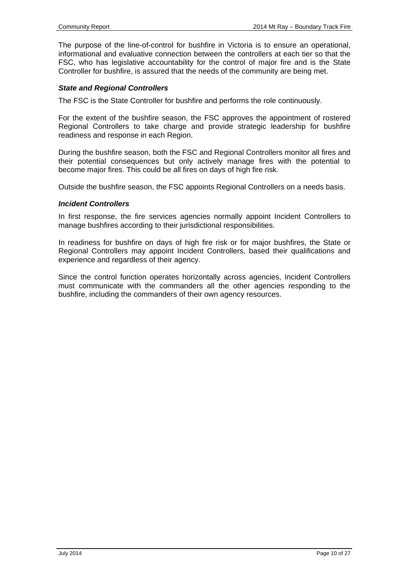The purpose of the line-of-control for bushfire in Victoria is to ensure an operational, informational and evaluative connection between the controllers at each tier so that the FSC, who has legislative accountability for the control of major fire and is the State Controller for bushfire, is assured that the needs of the community are being met.

#### *State and Regional Controllers*

The FSC is the State Controller for bushfire and performs the role continuously.

For the extent of the bushfire season, the FSC approves the appointment of rostered Regional Controllers to take charge and provide strategic leadership for bushfire readiness and response in each Region.

During the bushfire season, both the FSC and Regional Controllers monitor all fires and their potential consequences but only actively manage fires with the potential to become major fires. This could be all fires on days of high fire risk.

Outside the bushfire season, the FSC appoints Regional Controllers on a needs basis.

#### *Incident Controllers*

In first response, the fire services agencies normally appoint Incident Controllers to manage bushfires according to their jurisdictional responsibilities.

In readiness for bushfire on days of high fire risk or for major bushfires, the State or Regional Controllers may appoint Incident Controllers, based their qualifications and experience and regardless of their agency.

Since the control function operates horizontally across agencies, Incident Controllers must communicate with the commanders all the other agencies responding to the bushfire, including the commanders of their own agency resources.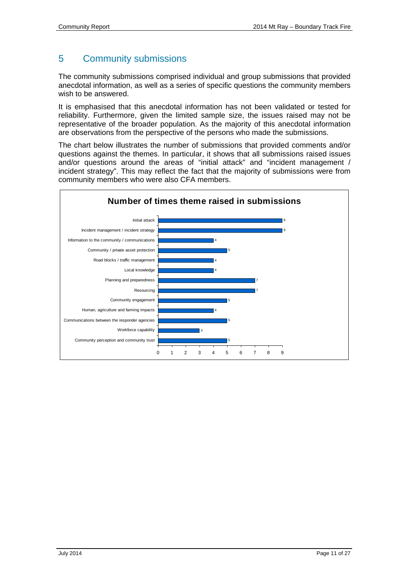# <span id="page-10-0"></span>5 Community submissions

The community submissions comprised individual and group submissions that provided anecdotal information, as well as a series of specific questions the community members wish to be answered.

It is emphasised that this anecdotal information has not been validated or tested for reliability. Furthermore, given the limited sample size, the issues raised may not be representative of the broader population. As the majority of this anecdotal information are observations from the perspective of the persons who made the submissions.

The chart below illustrates the number of submissions that provided comments and/or questions against the themes. In particular, it shows that all submissions raised issues and/or questions around the areas of "initial attack" and "incident management / incident strategy". This may reflect the fact that the majority of submissions were from community members who were also CFA members.

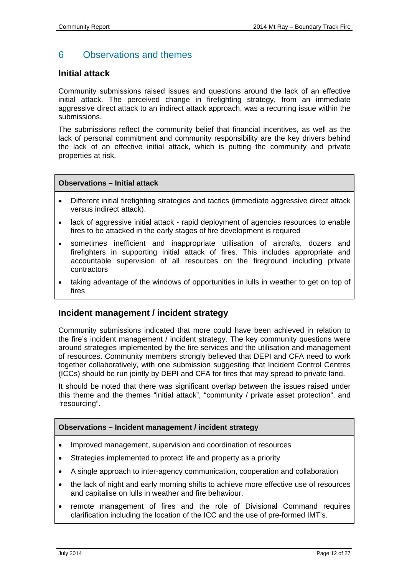# <span id="page-11-0"></span>6 Observations and themes

# **Initial attack**

Community submissions raised issues and questions around the lack of an effective initial attack. The perceived change in firefighting strategy, from an immediate aggressive direct attack to an indirect attack approach, was a recurring issue within the submissions.

The submissions reflect the community belief that financial incentives, as well as the lack of personal commitment and community responsibility are the key drivers behind the lack of an effective initial attack, which is putting the community and private properties at risk.

#### **Observations – Initial attack**

- Different initial firefighting strategies and tactics (immediate aggressive direct attack versus indirect attack).
- lack of aggressive initial attack rapid deployment of agencies resources to enable fires to be attacked in the early stages of fire development is required
- sometimes inefficient and inappropriate utilisation of aircrafts, dozers and firefighters in supporting initial attack of fires. This includes appropriate and accountable supervision of all resources on the fireground including private contractors
- taking advantage of the windows of opportunities in lulls in weather to get on top of fires

## **Incident management / incident strategy**

Community submissions indicated that more could have been achieved in relation to the fire's incident management / incident strategy. The key community questions were around strategies implemented by the fire services and the utilisation and management of resources. Community members strongly believed that DEPI and CFA need to work together collaboratively, with one submission suggesting that Incident Control Centres (ICCs) should be run jointly by DEPI and CFA for fires that may spread to private land.

It should be noted that there was significant overlap between the issues raised under this theme and the themes "initial attack", "community / private asset protection", and "resourcing".

#### **Observations – Incident management / incident strategy**

- Improved management, supervision and coordination of resources
- Strategies implemented to protect life and property as a priority
- A single approach to inter-agency communication, cooperation and collaboration
- the lack of night and early morning shifts to achieve more effective use of resources and capitalise on lulls in weather and fire behaviour.
- remote management of fires and the role of Divisional Command requires clarification including the location of the ICC and the use of pre-formed IMT's.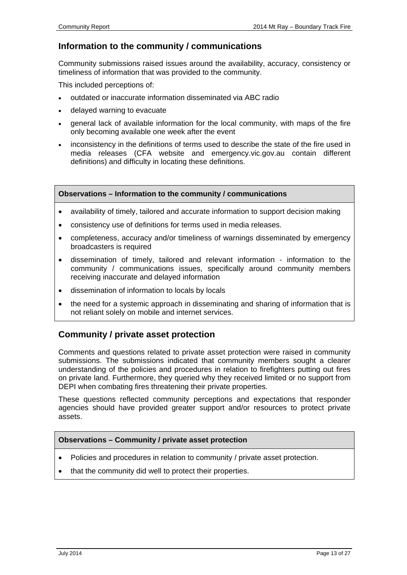# **Information to the community / communications**

Community submissions raised issues around the availability, accuracy, consistency or timeliness of information that was provided to the community.

This included perceptions of:

- outdated or inaccurate information disseminated via ABC radio
- delayed warning to evacuate
- general lack of available information for the local community, with maps of the fire only becoming available one week after the event
- inconsistency in the definitions of terms used to describe the state of the fire used in media releases (CFA website and emergency.vic.gov.au contain different definitions) and difficulty in locating these definitions.

#### **Observations – Information to the community / communications**

- availability of timely, tailored and accurate information to support decision making
- consistency use of definitions for terms used in media releases.
- completeness, accuracy and/or timeliness of warnings disseminated by emergency broadcasters is required
- dissemination of timely, tailored and relevant information information to the community / communications issues, specifically around community members receiving inaccurate and delayed information
- dissemination of information to locals by locals
- the need for a systemic approach in disseminating and sharing of information that is not reliant solely on mobile and internet services.

# **Community / private asset protection**

Comments and questions related to private asset protection were raised in community submissions. The submissions indicated that community members sought a clearer understanding of the policies and procedures in relation to firefighters putting out fires on private land. Furthermore, they queried why they received limited or no support from DEPI when combating fires threatening their private properties.

These questions reflected community perceptions and expectations that responder agencies should have provided greater support and/or resources to protect private assets.

#### **Observations – Community / private asset protection**

- Policies and procedures in relation to community / private asset protection.
- that the community did well to protect their properties.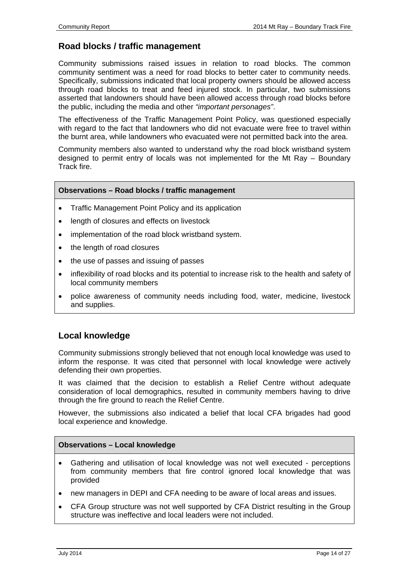# **Road blocks / traffic management**

Community submissions raised issues in relation to road blocks. The common community sentiment was a need for road blocks to better cater to community needs. Specifically, submissions indicated that local property owners should be allowed access through road blocks to treat and feed injured stock. In particular, two submissions asserted that landowners should have been allowed access through road blocks before the public, including the media and other *"important personages"*.

The effectiveness of the Traffic Management Point Policy, was questioned especially with regard to the fact that landowners who did not evacuate were free to travel within the burnt area, while landowners who evacuated were not permitted back into the area.

Community members also wanted to understand why the road block wristband system designed to permit entry of locals was not implemented for the Mt Ray – Boundary Track fire.

#### **Observations – Road blocks / traffic management**

- Traffic Management Point Policy and its application
- length of closures and effects on livestock
- implementation of the road block wristband system.
- the length of road closures
- the use of passes and issuing of passes
- inflexibility of road blocks and its potential to increase risk to the health and safety of local community members
- police awareness of community needs including food, water, medicine, livestock and supplies.

# **Local knowledge**

Community submissions strongly believed that not enough local knowledge was used to inform the response. It was cited that personnel with local knowledge were actively defending their own properties.

It was claimed that the decision to establish a Relief Centre without adequate consideration of local demographics, resulted in community members having to drive through the fire ground to reach the Relief Centre.

However, the submissions also indicated a belief that local CFA brigades had good local experience and knowledge.

#### **Observations – Local knowledge**

- Gathering and utilisation of local knowledge was not well executed perceptions from community members that fire control ignored local knowledge that was provided
- new managers in DEPI and CFA needing to be aware of local areas and issues.
- CFA Group structure was not well supported by CFA District resulting in the Group structure was ineffective and local leaders were not included.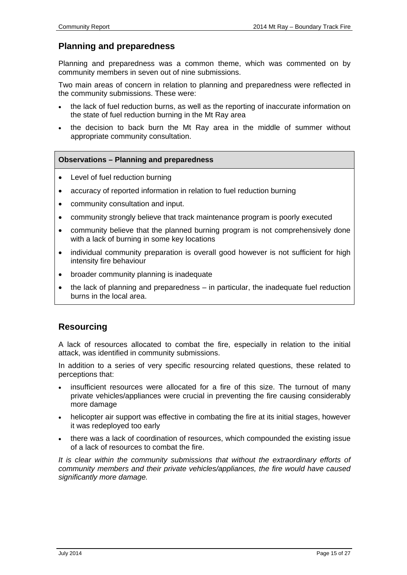# **Planning and preparedness**

Planning and preparedness was a common theme, which was commented on by community members in seven out of nine submissions.

Two main areas of concern in relation to planning and preparedness were reflected in the community submissions. These were:

- the lack of fuel reduction burns, as well as the reporting of inaccurate information on the state of fuel reduction burning in the Mt Ray area
- the decision to back burn the Mt Ray area in the middle of summer without appropriate community consultation.

#### **Observations – Planning and preparedness**

- Level of fuel reduction burning
- accuracy of reported information in relation to fuel reduction burning
- community consultation and input.
- community strongly believe that track maintenance program is poorly executed
- community believe that the planned burning program is not comprehensively done with a lack of burning in some key locations
- individual community preparation is overall good however is not sufficient for high intensity fire behaviour
- broader community planning is inadequate
- the lack of planning and preparedness in particular, the inadequate fuel reduction burns in the local area.

# **Resourcing**

A lack of resources allocated to combat the fire, especially in relation to the initial attack, was identified in community submissions.

In addition to a series of very specific resourcing related questions, these related to perceptions that:

- insufficient resources were allocated for a fire of this size. The turnout of many private vehicles/appliances were crucial in preventing the fire causing considerably more damage
- helicopter air support was effective in combating the fire at its initial stages, however it was redeployed too early
- there was a lack of coordination of resources, which compounded the existing issue of a lack of resources to combat the fire.

*It is clear within the community submissions that without the extraordinary efforts of community members and their private vehicles/appliances, the fire would have caused significantly more damage.*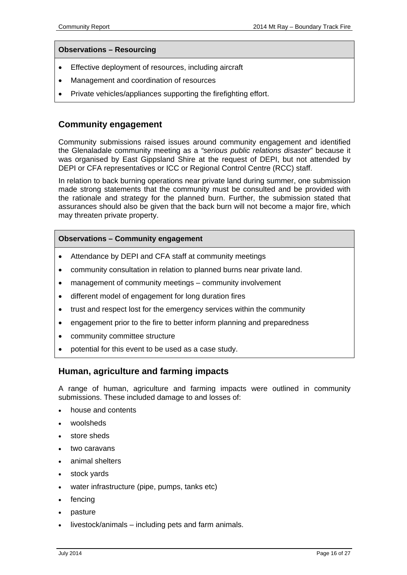#### **Observations – Resourcing**

- Effective deployment of resources, including aircraft
- Management and coordination of resources
- Private vehicles/appliances supporting the firefighting effort.

## **Community engagement**

Community submissions raised issues around community engagement and identified the Glenaladale community meeting as a *"serious public relations disaster*" because it was organised by East Gippsland Shire at the request of DEPI, but not attended by DEPI or CFA representatives or ICC or Regional Control Centre (RCC) staff.

In relation to back burning operations near private land during summer, one submission made strong statements that the community must be consulted and be provided with the rationale and strategy for the planned burn. Further, the submission stated that assurances should also be given that the back burn will not become a major fire, which may threaten private property.

#### **Observations – Community engagement**

- Attendance by DEPI and CFA staff at community meetings
- community consultation in relation to planned burns near private land.
- management of community meetings community involvement
- different model of engagement for long duration fires
- trust and respect lost for the emergency services within the community
- engagement prior to the fire to better inform planning and preparedness
- community committee structure
- potential for this event to be used as a case study.

## **Human, agriculture and farming impacts**

A range of human, agriculture and farming impacts were outlined in community submissions. These included damage to and losses of:

- house and contents
- woolsheds
- store sheds
- two caravans
- animal shelters
- stock yards
- water infrastructure (pipe, pumps, tanks etc)
- fencing
- pasture
- livestock/animals including pets and farm animals.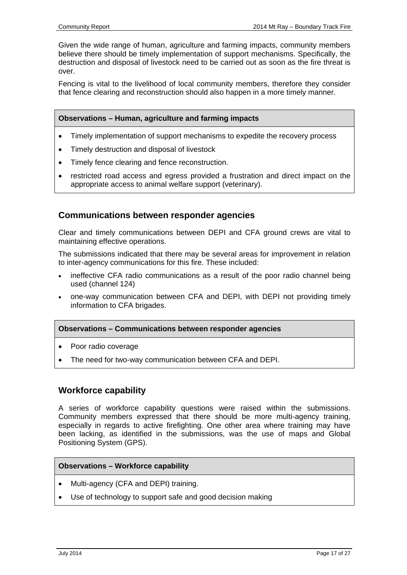Given the wide range of human, agriculture and farming impacts, community members believe there should be timely implementation of support mechanisms. Specifically, the destruction and disposal of livestock need to be carried out as soon as the fire threat is over.

Fencing is vital to the livelihood of local community members, therefore they consider that fence clearing and reconstruction should also happen in a more timely manner.

#### **Observations – Human, agriculture and farming impacts**

- Timely implementation of support mechanisms to expedite the recovery process
- Timely destruction and disposal of livestock
- Timely fence clearing and fence reconstruction.
- restricted road access and egress provided a frustration and direct impact on the appropriate access to animal welfare support (veterinary).

# **Communications between responder agencies**

Clear and timely communications between DEPI and CFA ground crews are vital to maintaining effective operations.

The submissions indicated that there may be several areas for improvement in relation to inter-agency communications for this fire. These included:

- ineffective CFA radio communications as a result of the poor radio channel being used (channel 124)
- one-way communication between CFA and DEPI, with DEPI not providing timely information to CFA brigades.

#### **Observations – Communications between responder agencies**

- Poor radio coverage
- The need for two-way communication between CFA and DEPI.

## **Workforce capability**

A series of workforce capability questions were raised within the submissions. Community members expressed that there should be more multi-agency training, especially in regards to active firefighting. One other area where training may have been lacking, as identified in the submissions, was the use of maps and Global Positioning System (GPS).

#### **Observations – Workforce capability**

- Multi-agency (CFA and DEPI) training.
- Use of technology to support safe and good decision making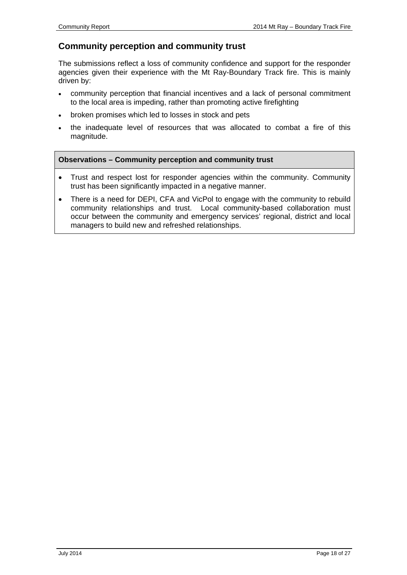# **Community perception and community trust**

The submissions reflect a loss of community confidence and support for the responder agencies given their experience with the Mt Ray-Boundary Track fire. This is mainly driven by:

- community perception that financial incentives and a lack of personal commitment to the local area is impeding, rather than promoting active firefighting
- broken promises which led to losses in stock and pets
- the inadequate level of resources that was allocated to combat a fire of this magnitude.

#### **Observations – Community perception and community trust**

- Trust and respect lost for responder agencies within the community. Community trust has been significantly impacted in a negative manner.
- There is a need for DEPI, CFA and VicPol to engage with the community to rebuild community relationships and trust. Local community-based collaboration must occur between the community and emergency services' regional, district and local managers to build new and refreshed relationships.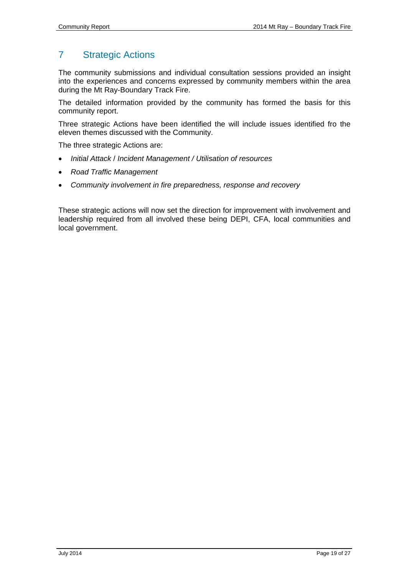# <span id="page-18-0"></span>7 Strategic Actions

The community submissions and individual consultation sessions provided an insight into the experiences and concerns expressed by community members within the area during the Mt Ray-Boundary Track Fire.

The detailed information provided by the community has formed the basis for this community report.

Three strategic Actions have been identified the will include issues identified fro the eleven themes discussed with the Community.

The three strategic Actions are:

- *Initial Attack* / *Incident Management / Utilisation of resources*
- *Road Traffic Management*
- *Community involvement in fire preparedness, response and recovery*

These strategic actions will now set the direction for improvement with involvement and leadership required from all involved these being DEPI, CFA, local communities and local government.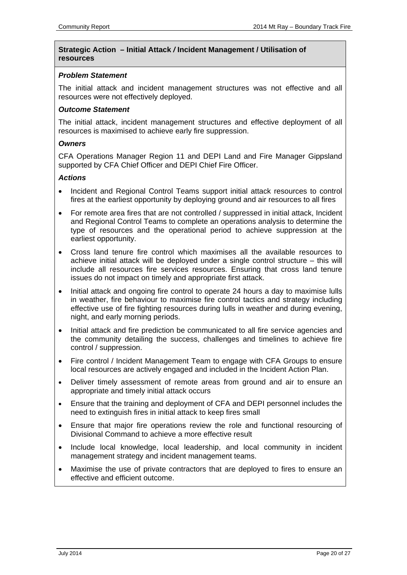#### **Strategic Action – Initial Attack** */* **Incident Management / Utilisation of resources**

#### *Problem Statement*

The initial attack and incident management structures was not effective and all resources were not effectively deployed.

#### *Outcome Statement*

The initial attack, incident management structures and effective deployment of all resources is maximised to achieve early fire suppression.

#### *Owners*

CFA Operations Manager Region 11 and DEPI Land and Fire Manager Gippsland supported by CFA Chief Officer and DEPI Chief Fire Officer.

#### *Actions*

- Incident and Regional Control Teams support initial attack resources to control fires at the earliest opportunity by deploying ground and air resources to all fires
- For remote area fires that are not controlled / suppressed in initial attack, Incident and Regional Control Teams to complete an operations analysis to determine the type of resources and the operational period to achieve suppression at the earliest opportunity.
- Cross land tenure fire control which maximises all the available resources to achieve initial attack will be deployed under a single control structure – this will include all resources fire services resources. Ensuring that cross land tenure issues do not impact on timely and appropriate first attack.
- Initial attack and ongoing fire control to operate 24 hours a day to maximise lulls in weather, fire behaviour to maximise fire control tactics and strategy including effective use of fire fighting resources during lulls in weather and during evening, night, and early morning periods.
- Initial attack and fire prediction be communicated to all fire service agencies and the community detailing the success, challenges and timelines to achieve fire control / suppression.
- Fire control / Incident Management Team to engage with CFA Groups to ensure local resources are actively engaged and included in the Incident Action Plan.
- Deliver timely assessment of remote areas from ground and air to ensure an appropriate and timely initial attack occurs
- Ensure that the training and deployment of CFA and DEPI personnel includes the need to extinguish fires in initial attack to keep fires small
- Ensure that major fire operations review the role and functional resourcing of Divisional Command to achieve a more effective result
- Include local knowledge, local leadership, and local community in incident management strategy and incident management teams.
- Maximise the use of private contractors that are deployed to fires to ensure an effective and efficient outcome.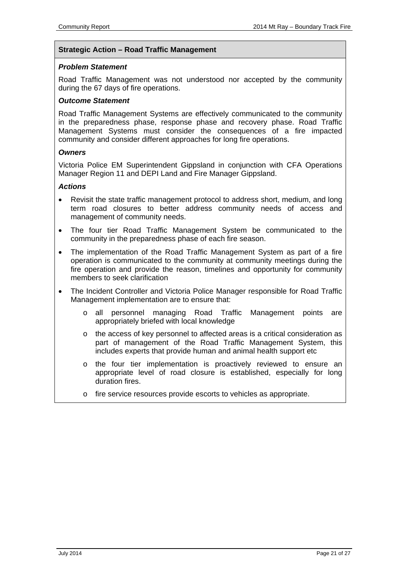#### **Strategic Action – Road Traffic Management**

#### *Problem Statement*

Road Traffic Management was not understood nor accepted by the community during the 67 days of fire operations.

#### *Outcome Statement*

Road Traffic Management Systems are effectively communicated to the community in the preparedness phase, response phase and recovery phase. Road Traffic Management Systems must consider the consequences of a fire impacted community and consider different approaches for long fire operations.

#### *Owners*

Victoria Police EM Superintendent Gippsland in conjunction with CFA Operations Manager Region 11 and DEPI Land and Fire Manager Gippsland.

#### *Actions*

- Revisit the state traffic management protocol to address short, medium, and long term road closures to better address community needs of access and management of community needs.
- The four tier Road Traffic Management System be communicated to the community in the preparedness phase of each fire season.
- The implementation of the Road Traffic Management System as part of a fire operation is communicated to the community at community meetings during the fire operation and provide the reason, timelines and opportunity for community members to seek clarification
- The Incident Controller and Victoria Police Manager responsible for Road Traffic Management implementation are to ensure that:
	- o all personnel managing Road Traffic Management points are appropriately briefed with local knowledge
	- o the access of key personnel to affected areas is a critical consideration as part of management of the Road Traffic Management System, this includes experts that provide human and animal health support etc
	- o the four tier implementation is proactively reviewed to ensure an appropriate level of road closure is established, especially for long duration fires.
	- o fire service resources provide escorts to vehicles as appropriate.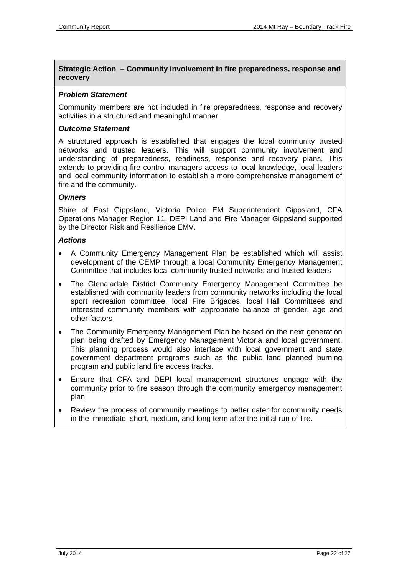#### **Strategic Action – Community involvement in fire preparedness, response and recovery**

#### *Problem Statement*

Community members are not included in fire preparedness, response and recovery activities in a structured and meaningful manner.

#### *Outcome Statement*

A structured approach is established that engages the local community trusted networks and trusted leaders. This will support community involvement and understanding of preparedness, readiness, response and recovery plans. This extends to providing fire control managers access to local knowledge, local leaders and local community information to establish a more comprehensive management of fire and the community.

#### *Owners*

Shire of East Gippsland, Victoria Police EM Superintendent Gippsland, CFA Operations Manager Region 11, DEPI Land and Fire Manager Gippsland supported by the Director Risk and Resilience EMV.

#### *Actions*

- A Community Emergency Management Plan be established which will assist development of the CEMP through a local Community Emergency Management Committee that includes local community trusted networks and trusted leaders
- The Glenaladale District Community Emergency Management Committee be established with community leaders from community networks including the local sport recreation committee, local Fire Brigades, local Hall Committees and interested community members with appropriate balance of gender, age and other factors
- The Community Emergency Management Plan be based on the next generation plan being drafted by Emergency Management Victoria and local government. This planning process would also interface with local government and state government department programs such as the public land planned burning program and public land fire access tracks.
- Ensure that CFA and DEPI local management structures engage with the community prior to fire season through the community emergency management plan
- Review the process of community meetings to better cater for community needs in the immediate, short, medium, and long term after the initial run of fire.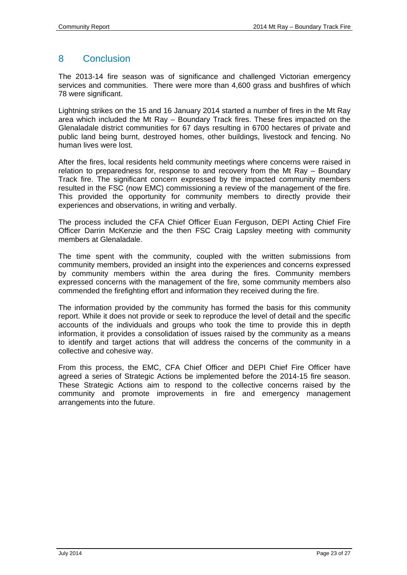# <span id="page-22-0"></span>8 Conclusion

The 2013-14 fire season was of significance and challenged Victorian emergency services and communities. There were more than 4,600 grass and bushfires of which 78 were significant.

Lightning strikes on the 15 and 16 January 2014 started a number of fires in the Mt Ray area which included the Mt Ray – Boundary Track fires. These fires impacted on the Glenaladale district communities for 67 days resulting in 6700 hectares of private and public land being burnt, destroyed homes, other buildings, livestock and fencing. No human lives were lost.

After the fires, local residents held community meetings where concerns were raised in relation to preparedness for, response to and recovery from the Mt Ray – Boundary Track fire. The significant concern expressed by the impacted community members resulted in the FSC (now EMC) commissioning a review of the management of the fire. This provided the opportunity for community members to directly provide their experiences and observations, in writing and verbally.

The process included the CFA Chief Officer Euan Ferguson, DEPI Acting Chief Fire Officer Darrin McKenzie and the then FSC Craig Lapsley meeting with community members at Glenaladale.

The time spent with the community, coupled with the written submissions from community members, provided an insight into the experiences and concerns expressed by community members within the area during the fires. Community members expressed concerns with the management of the fire, some community members also commended the firefighting effort and information they received during the fire.

The information provided by the community has formed the basis for this community report. While it does not provide or seek to reproduce the level of detail and the specific accounts of the individuals and groups who took the time to provide this in depth information, it provides a consolidation of issues raised by the community as a means to identify and target actions that will address the concerns of the community in a collective and cohesive way.

From this process, the EMC, CFA Chief Officer and DEPI Chief Fire Officer have agreed a series of Strategic Actions be implemented before the 2014-15 fire season. These Strategic Actions aim to respond to the collective concerns raised by the community and promote improvements in fire and emergency management arrangements into the future.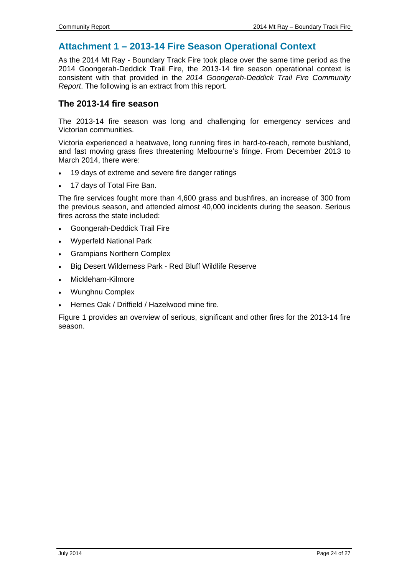# <span id="page-23-0"></span>**Attachment 1 – 2013-14 Fire Season Operational Context**

As the 2014 Mt Ray - Boundary Track Fire took place over the same time period as the 2014 Goongerah-Deddick Trail Fire, the 2013-14 fire season operational context is consistent with that provided in the *2014 Goongerah-Deddick Trail Fire Community Report*. The following is an extract from this report.

# **The 2013-14 fire season**

The 2013-14 fire season was long and challenging for emergency services and Victorian communities.

Victoria experienced a heatwave, long running fires in hard-to-reach, remote bushland, and fast moving grass fires threatening Melbourne's fringe. From December 2013 to March 2014, there were:

- 19 days of extreme and severe fire danger ratings
- 17 days of Total Fire Ban.

The fire services fought more than 4,600 grass and bushfires, an increase of 300 from the previous season, and attended almost 40,000 incidents during the season. Serious fires across the state included:

- Goongerah-Deddick Trail Fire
- Wyperfeld National Park
- Grampians Northern Complex
- Big Desert Wilderness Park Red Bluff Wildlife Reserve
- Mickleham-Kilmore
- Wunghnu Complex
- Hernes Oak / Driffield / Hazelwood mine fire.

Figure 1 provides an overview of serious, significant and other fires for the 2013-14 fire season.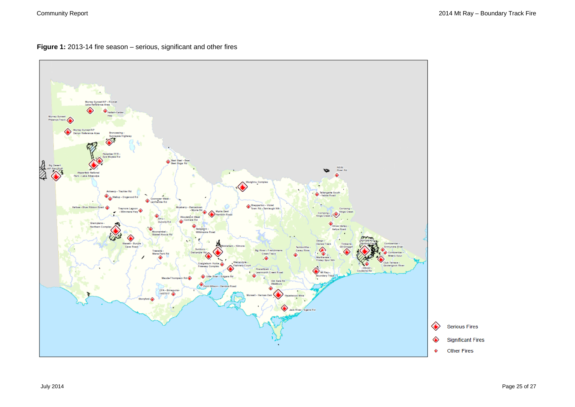**Figure 1:** 2013-14 fire season – serious, significant and other fires

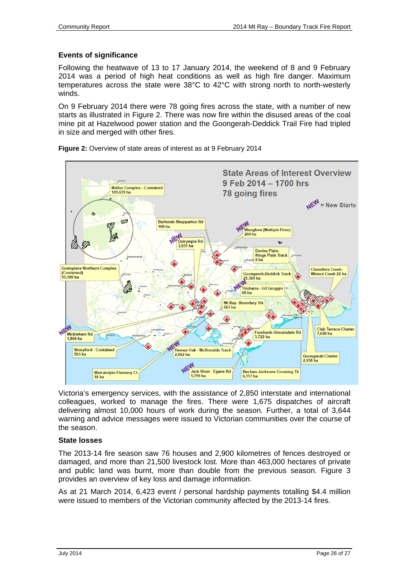### **Events of significance**

Following the heatwave of 13 to 17 January 2014, the weekend of 8 and 9 February 2014 was a period of high heat conditions as well as high fire danger. Maximum temperatures across the state were 38°C to 42°C with strong north to north-westerly winds.

On 9 February 2014 there were 78 going fires across the state, with a number of new starts as illustrated in Figure 2. There was now fire within the disused areas of the coal mine pit at Hazelwood power station and the Goongerah-Deddick Trail Fire had tripled in size and merged with other fires.



**Figure 2:** Overview of state areas of interest as at 9 February 2014

Victoria's emergency services, with the assistance of 2,850 interstate and international colleagues, worked to manage the fires. There were 1,675 dispatches of aircraft delivering almost 10,000 hours of work during the season. Further, a total of 3,644 warning and advice messages were issued to Victorian communities over the course of the season.

#### **State losses**

The 2013-14 fire season saw 76 houses and 2,900 kilometres of fences destroyed or damaged, and more than 21,500 livestock lost. More than 463,000 hectares of private and public land was burnt, more than double from the previous season. Figure 3 provides an overview of key loss and damage information.

As at 21 March 2014, 6,423 event / personal hardship payments totalling \$4.4 million were issued to members of the Victorian community affected by the 2013-14 fires.